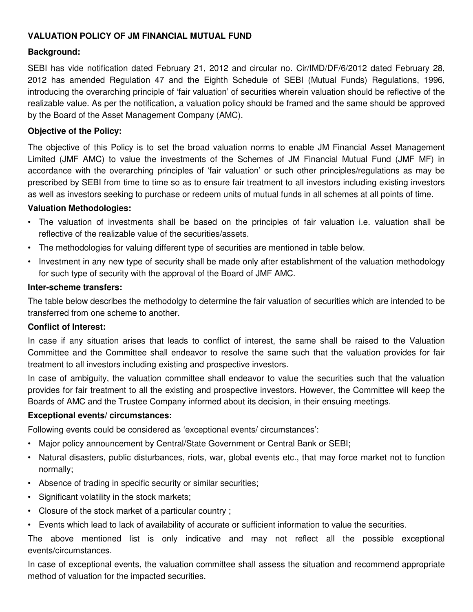## **VALUATION POLICY OF JM FINANCIAL MUTUAL FUND**

### **Background:**

SEBI has vide notification dated February 21, 2012 and circular no. Cir/IMD/DF/6/2012 dated February 28, 2012 has amended Regulation 47 and the Eighth Schedule of SEBI (Mutual Funds) Regulations, 1996, introducing the overarching principle of 'fair valuation' of securities wherein valuation should be reflective of the realizable value. As per the notification, a valuation policy should be framed and the same should be approved by the Board of the Asset Management Company (AMC).

#### **Objective of the Policy:**

The objective of this Policy is to set the broad valuation norms to enable JM Financial Asset Management Limited (JMF AMC) to value the investments of the Schemes of JM Financial Mutual Fund (JMF MF) in accordance with the overarching principles of 'fair valuation' or such other principles/regulations as may be prescribed by SEBI from time to time so as to ensure fair treatment to all investors including existing investors as well as investors seeking to purchase or redeem units of mutual funds in all schemes at all points of time.

#### **Valuation Methodologies:**

- The valuation of investments shall be based on the principles of fair valuation i.e. valuation shall be reflective of the realizable value of the securities/assets.
- The methodologies for valuing different type of securities are mentioned in table below.
- Investment in any new type of security shall be made only after establishment of the valuation methodology for such type of security with the approval of the Board of JMF AMC.

#### **Inter-scheme transfers:**

The table below describes the methodolgy to determine the fair valuation of securities which are intended to be transferred from one scheme to another.

### **Conflict of Interest:**

In case if any situation arises that leads to conflict of interest, the same shall be raised to the Valuation Committee and the Committee shall endeavor to resolve the same such that the valuation provides for fair treatment to all investors including existing and prospective investors.

In case of ambiguity, the valuation committee shall endeavor to value the securities such that the valuation provides for fair treatment to all the existing and prospective investors. However, the Committee will keep the Boards of AMC and the Trustee Company informed about its decision, in their ensuing meetings.

#### **Exceptional events/ circumstances:**

Following events could be considered as 'exceptional events/ circumstances':

- Major policy announcement by Central/State Government or Central Bank or SEBI;
- Natural disasters, public disturbances, riots, war, global events etc., that may force market not to function normally;
- Absence of trading in specific security or similar securities;
- Significant volatility in the stock markets;
- Closure of the stock market of a particular country ;
- Events which lead to lack of availability of accurate or sufficient information to value the securities.

The above mentioned list is only indicative and may not reflect all the possible exceptional events/circumstances.

In case of exceptional events, the valuation committee shall assess the situation and recommend appropriate method of valuation for the impacted securities.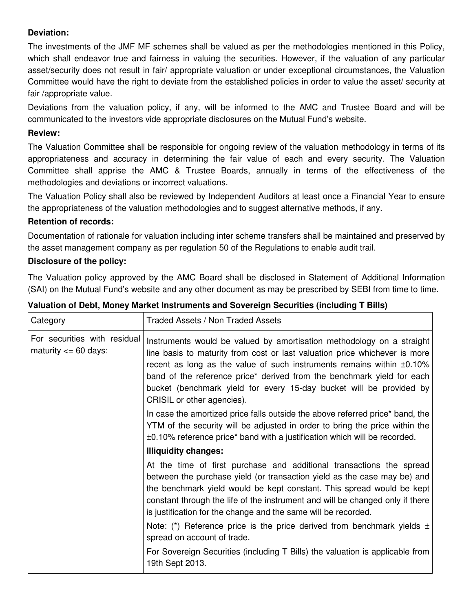# **Deviation:**

The investments of the JMF MF schemes shall be valued as per the methodologies mentioned in this Policy, which shall endeavor true and fairness in valuing the securities. However, if the valuation of any particular asset/security does not result in fair/ appropriate valuation or under exceptional circumstances, the Valuation Committee would have the right to deviate from the established policies in order to value the asset/ security at fair /appropriate value.

Deviations from the valuation policy, if any, will be informed to the AMC and Trustee Board and will be communicated to the investors vide appropriate disclosures on the Mutual Fund's website.

# **Review:**

The Valuation Committee shall be responsible for ongoing review of the valuation methodology in terms of its appropriateness and accuracy in determining the fair value of each and every security. The Valuation Committee shall apprise the AMC & Trustee Boards, annually in terms of the effectiveness of the methodologies and deviations or incorrect valuations.

The Valuation Policy shall also be reviewed by Independent Auditors at least once a Financial Year to ensure the appropriateness of the valuation methodologies and to suggest alternative methods, if any.

## **Retention of records:**

Documentation of rationale for valuation including inter scheme transfers shall be maintained and preserved by the asset management company as per regulation 50 of the Regulations to enable audit trail.

## **Disclosure of the policy:**

The Valuation policy approved by the AMC Board shall be disclosed in Statement of Additional Information (SAI) on the Mutual Fund's website and any other document as may be prescribed by SEBI from time to time.

| Category                                                 | Traded Assets / Non Traded Assets                                                                                                                                                                                                                                                                                                                                                                           |
|----------------------------------------------------------|-------------------------------------------------------------------------------------------------------------------------------------------------------------------------------------------------------------------------------------------------------------------------------------------------------------------------------------------------------------------------------------------------------------|
| For securities with residual<br>maturity $\leq 60$ days: | Instruments would be valued by amortisation methodology on a straight<br>line basis to maturity from cost or last valuation price whichever is more<br>recent as long as the value of such instruments remains within ±0.10%<br>band of the reference price* derived from the benchmark yield for each<br>bucket (benchmark yield for every 15-day bucket will be provided by<br>CRISIL or other agencies). |
|                                                          | In case the amortized price falls outside the above referred price* band, the<br>YTM of the security will be adjusted in order to bring the price within the<br>±0.10% reference price* band with a justification which will be recorded.                                                                                                                                                                   |
|                                                          | <b>Illiquidity changes:</b>                                                                                                                                                                                                                                                                                                                                                                                 |
|                                                          | At the time of first purchase and additional transactions the spread<br>between the purchase yield (or transaction yield as the case may be) and<br>the benchmark yield would be kept constant. This spread would be kept<br>constant through the life of the instrument and will be changed only if there<br>is justification for the change and the same will be recorded.                                |
|                                                          | Note: (*) Reference price is the price derived from benchmark yields $\pm$<br>spread on account of trade.                                                                                                                                                                                                                                                                                                   |
|                                                          | For Sovereign Securities (including T Bills) the valuation is applicable from<br>19th Sept 2013.                                                                                                                                                                                                                                                                                                            |

# **Valuation of Debt, Money Market Instruments and Sovereign Securities (including T Bills)**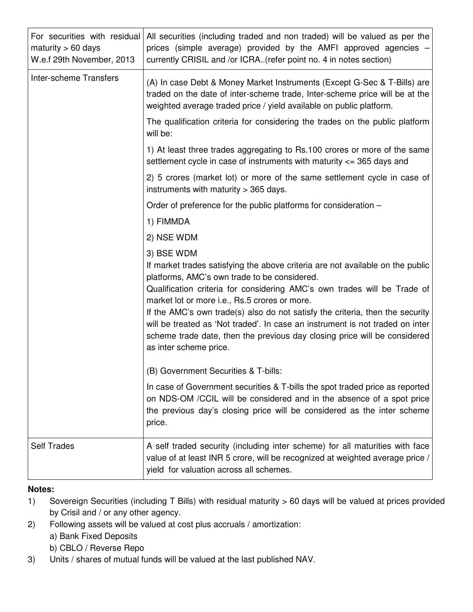| For securities with residual<br>maturity $> 60$ days<br>W.e.f 29th November, 2013 | All securities (including traded and non traded) will be valued as per the<br>prices (simple average) provided by the AMFI approved agencies -<br>currently CRISIL and /or ICRA(refer point no. 4 in notes section)                                                                                                                                                                                                                                                                                                                                |
|-----------------------------------------------------------------------------------|----------------------------------------------------------------------------------------------------------------------------------------------------------------------------------------------------------------------------------------------------------------------------------------------------------------------------------------------------------------------------------------------------------------------------------------------------------------------------------------------------------------------------------------------------|
| <b>Inter-scheme Transfers</b>                                                     | (A) In case Debt & Money Market Instruments (Except G-Sec & T-Bills) are<br>traded on the date of inter-scheme trade, Inter-scheme price will be at the<br>weighted average traded price / yield available on public platform.                                                                                                                                                                                                                                                                                                                     |
|                                                                                   | The qualification criteria for considering the trades on the public platform<br>will be:                                                                                                                                                                                                                                                                                                                                                                                                                                                           |
|                                                                                   | 1) At least three trades aggregating to Rs.100 crores or more of the same<br>settlement cycle in case of instruments with maturity $\epsilon$ = 365 days and                                                                                                                                                                                                                                                                                                                                                                                       |
|                                                                                   | 2) 5 crores (market lot) or more of the same settlement cycle in case of<br>instruments with maturity $>$ 365 days.                                                                                                                                                                                                                                                                                                                                                                                                                                |
|                                                                                   | Order of preference for the public platforms for consideration –                                                                                                                                                                                                                                                                                                                                                                                                                                                                                   |
|                                                                                   | 1) FIMMDA                                                                                                                                                                                                                                                                                                                                                                                                                                                                                                                                          |
|                                                                                   | 2) NSE WDM                                                                                                                                                                                                                                                                                                                                                                                                                                                                                                                                         |
|                                                                                   | 3) BSE WDM<br>If market trades satisfying the above criteria are not available on the public<br>platforms, AMC's own trade to be considered.<br>Qualification criteria for considering AMC's own trades will be Trade of<br>market lot or more i.e., Rs.5 crores or more.<br>If the AMC's own trade(s) also do not satisfy the criteria, then the security<br>will be treated as 'Not traded'. In case an instrument is not traded on inter<br>scheme trade date, then the previous day closing price will be considered<br>as inter scheme price. |
|                                                                                   | (B) Government Securities & T-bills:                                                                                                                                                                                                                                                                                                                                                                                                                                                                                                               |
|                                                                                   | In case of Government securities & T-bills the spot traded price as reported<br>on NDS-OM /CCIL will be considered and in the absence of a spot price<br>the previous day's closing price will be considered as the inter scheme<br>price.                                                                                                                                                                                                                                                                                                         |
| <b>Self Trades</b>                                                                | A self traded security (including inter scheme) for all maturities with face<br>value of at least INR 5 crore, will be recognized at weighted average price /<br>yield for valuation across all schemes.                                                                                                                                                                                                                                                                                                                                           |

# **Notes:**

- 1) Sovereign Securities (including T Bills) with residual maturity > 60 days will be valued at prices provided by Crisil and / or any other agency.
- 2) Following assets will be valued at cost plus accruals / amortization:
	- a) Bank Fixed Deposits
	- b) CBLO / Reverse Repo
- 3) Units / shares of mutual funds will be valued at the last published NAV.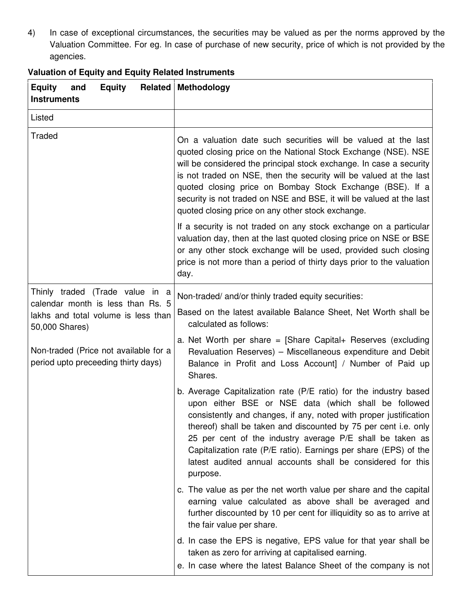4) In case of exceptional circumstances, the securities may be valued as per the norms approved by the Valuation Committee. For eg. In case of purchase of new security, price of which is not provided by the agencies.

| <b>Equity</b><br><b>Equity</b><br>Related<br>and<br><b>Instruments</b>                                                                                                     | Methodology                                                                                                                                                                                                                                                                                                                                                                                                                                                                   |
|----------------------------------------------------------------------------------------------------------------------------------------------------------------------------|-------------------------------------------------------------------------------------------------------------------------------------------------------------------------------------------------------------------------------------------------------------------------------------------------------------------------------------------------------------------------------------------------------------------------------------------------------------------------------|
| Listed                                                                                                                                                                     |                                                                                                                                                                                                                                                                                                                                                                                                                                                                               |
| Traded                                                                                                                                                                     | On a valuation date such securities will be valued at the last<br>quoted closing price on the National Stock Exchange (NSE). NSE<br>will be considered the principal stock exchange. In case a security<br>is not traded on NSE, then the security will be valued at the last<br>quoted closing price on Bombay Stock Exchange (BSE). If a<br>security is not traded on NSE and BSE, it will be valued at the last<br>quoted closing price on any other stock exchange.       |
|                                                                                                                                                                            | If a security is not traded on any stock exchange on a particular<br>valuation day, then at the last quoted closing price on NSE or BSE<br>or any other stock exchange will be used, provided such closing<br>price is not more than a period of thirty days prior to the valuation<br>day.                                                                                                                                                                                   |
| Thinly traded (Trade value in a                                                                                                                                            | Non-traded/ and/or thinly traded equity securities:                                                                                                                                                                                                                                                                                                                                                                                                                           |
| calendar month is less than Rs. 5<br>lakhs and total volume is less than<br>50,000 Shares)<br>Non-traded (Price not available for a<br>period upto preceeding thirty days) | Based on the latest available Balance Sheet, Net Worth shall be<br>calculated as follows:                                                                                                                                                                                                                                                                                                                                                                                     |
|                                                                                                                                                                            | a. Net Worth per share = $[Share Graph]$ Reserves (excluding<br>Revaluation Reserves) - Miscellaneous expenditure and Debit<br>Balance in Profit and Loss Account] / Number of Paid up<br>Shares.                                                                                                                                                                                                                                                                             |
|                                                                                                                                                                            | b. Average Capitalization rate (P/E ratio) for the industry based<br>upon either BSE or NSE data (which shall be followed<br>consistently and changes, if any, noted with proper justification<br>thereof) shall be taken and discounted by 75 per cent i.e. only<br>25 per cent of the industry average P/E shall be taken as<br>Capitalization rate (P/E ratio). Earnings per share (EPS) of the<br>latest audited annual accounts shall be considered for this<br>purpose. |
|                                                                                                                                                                            | c. The value as per the net worth value per share and the capital<br>earning value calculated as above shall be averaged and<br>further discounted by 10 per cent for illiquidity so as to arrive at<br>the fair value per share.                                                                                                                                                                                                                                             |
|                                                                                                                                                                            | d. In case the EPS is negative, EPS value for that year shall be<br>taken as zero for arriving at capitalised earning.<br>e. In case where the latest Balance Sheet of the company is not                                                                                                                                                                                                                                                                                     |

# **Valuation of Equity and Equity Related Instruments**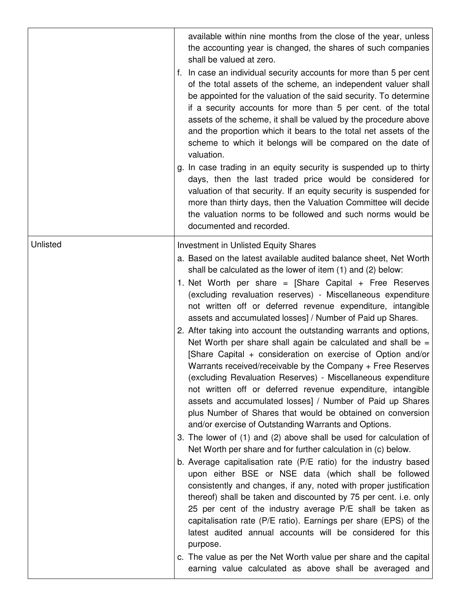|          | available within nine months from the close of the year, unless<br>the accounting year is changed, the shares of such companies<br>shall be valued at zero.<br>f. In case an individual security accounts for more than 5 per cent<br>of the total assets of the scheme, an independent valuer shall<br>be appointed for the valuation of the said security. To determine<br>if a security accounts for more than 5 per cent. of the total<br>assets of the scheme, it shall be valued by the procedure above<br>and the proportion which it bears to the total net assets of the<br>scheme to which it belongs will be compared on the date of<br>valuation.<br>g. In case trading in an equity security is suspended up to thirty<br>days, then the last traded price would be considered for<br>valuation of that security. If an equity security is suspended for<br>more than thirty days, then the Valuation Committee will decide<br>the valuation norms to be followed and such norms would be<br>documented and recorded.                                                                                                                                                                                                                                                                                                                                                                                                                                                                                                                                                                                                                                                                                                                                                 |
|----------|------------------------------------------------------------------------------------------------------------------------------------------------------------------------------------------------------------------------------------------------------------------------------------------------------------------------------------------------------------------------------------------------------------------------------------------------------------------------------------------------------------------------------------------------------------------------------------------------------------------------------------------------------------------------------------------------------------------------------------------------------------------------------------------------------------------------------------------------------------------------------------------------------------------------------------------------------------------------------------------------------------------------------------------------------------------------------------------------------------------------------------------------------------------------------------------------------------------------------------------------------------------------------------------------------------------------------------------------------------------------------------------------------------------------------------------------------------------------------------------------------------------------------------------------------------------------------------------------------------------------------------------------------------------------------------------------------------------------------------------------------------------------------------|
| Unlisted | Investment in Unlisted Equity Shares<br>a. Based on the latest available audited balance sheet, Net Worth<br>shall be calculated as the lower of item (1) and (2) below:<br>1. Net Worth per share = $[Share$ Capital + Free Reserves<br>(excluding revaluation reserves) - Miscellaneous expenditure<br>not written off or deferred revenue expenditure, intangible<br>assets and accumulated losses] / Number of Paid up Shares.<br>2. After taking into account the outstanding warrants and options,<br>Net Worth per share shall again be calculated and shall be $=$<br>[Share Capital + consideration on exercise of Option and/or<br>Warrants received/receivable by the Company + Free Reserves<br>(excluding Revaluation Reserves) - Miscellaneous expenditure<br>not written off or deferred revenue expenditure, intangible<br>assets and accumulated losses] / Number of Paid up Shares<br>plus Number of Shares that would be obtained on conversion<br>and/or exercise of Outstanding Warrants and Options.<br>3. The lower of (1) and (2) above shall be used for calculation of<br>Net Worth per share and for further calculation in (c) below.<br>b. Average capitalisation rate (P/E ratio) for the industry based<br>upon either BSE or NSE data (which shall be followed<br>consistently and changes, if any, noted with proper justification<br>thereof) shall be taken and discounted by 75 per cent. i.e. only<br>25 per cent of the industry average P/E shall be taken as<br>capitalisation rate (P/E ratio). Earnings per share (EPS) of the<br>latest audited annual accounts will be considered for this<br>purpose.<br>c. The value as per the Net Worth value per share and the capital<br>earning value calculated as above shall be averaged and |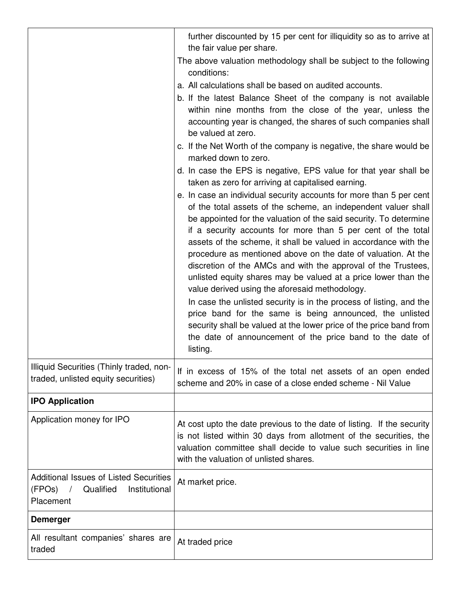|                                                                                             | further discounted by 15 per cent for illiquidity so as to arrive at<br>the fair value per share.                                                                                                                                                                                                                                                                                                                                                                                                                                                                                                                                                                                                                                                                                                                                                                                     |
|---------------------------------------------------------------------------------------------|---------------------------------------------------------------------------------------------------------------------------------------------------------------------------------------------------------------------------------------------------------------------------------------------------------------------------------------------------------------------------------------------------------------------------------------------------------------------------------------------------------------------------------------------------------------------------------------------------------------------------------------------------------------------------------------------------------------------------------------------------------------------------------------------------------------------------------------------------------------------------------------|
|                                                                                             | The above valuation methodology shall be subject to the following<br>conditions:                                                                                                                                                                                                                                                                                                                                                                                                                                                                                                                                                                                                                                                                                                                                                                                                      |
|                                                                                             | a. All calculations shall be based on audited accounts.                                                                                                                                                                                                                                                                                                                                                                                                                                                                                                                                                                                                                                                                                                                                                                                                                               |
|                                                                                             | b. If the latest Balance Sheet of the company is not available<br>within nine months from the close of the year, unless the<br>accounting year is changed, the shares of such companies shall<br>be valued at zero.                                                                                                                                                                                                                                                                                                                                                                                                                                                                                                                                                                                                                                                                   |
|                                                                                             | c. If the Net Worth of the company is negative, the share would be<br>marked down to zero.                                                                                                                                                                                                                                                                                                                                                                                                                                                                                                                                                                                                                                                                                                                                                                                            |
|                                                                                             | d. In case the EPS is negative, EPS value for that year shall be<br>taken as zero for arriving at capitalised earning.                                                                                                                                                                                                                                                                                                                                                                                                                                                                                                                                                                                                                                                                                                                                                                |
|                                                                                             | e. In case an individual security accounts for more than 5 per cent<br>of the total assets of the scheme, an independent valuer shall<br>be appointed for the valuation of the said security. To determine<br>if a security accounts for more than 5 per cent of the total<br>assets of the scheme, it shall be valued in accordance with the<br>procedure as mentioned above on the date of valuation. At the<br>discretion of the AMCs and with the approval of the Trustees,<br>unlisted equity shares may be valued at a price lower than the<br>value derived using the aforesaid methodology.<br>In case the unlisted security is in the process of listing, and the<br>price band for the same is being announced, the unlisted<br>security shall be valued at the lower price of the price band from<br>the date of announcement of the price band to the date of<br>listing. |
| Illiquid Securities (Thinly traded, non-<br>traded, unlisted equity securities)             | If in excess of 15% of the total net assets of an open ended<br>scheme and 20% in case of a close ended scheme - Nil Value                                                                                                                                                                                                                                                                                                                                                                                                                                                                                                                                                                                                                                                                                                                                                            |
| <b>IPO Application</b>                                                                      |                                                                                                                                                                                                                                                                                                                                                                                                                                                                                                                                                                                                                                                                                                                                                                                                                                                                                       |
| Application money for IPO                                                                   | At cost upto the date previous to the date of listing. If the security<br>is not listed within 30 days from allotment of the securities, the<br>valuation committee shall decide to value such securities in line<br>with the valuation of unlisted shares.                                                                                                                                                                                                                                                                                                                                                                                                                                                                                                                                                                                                                           |
| Additional Issues of Listed Securities<br>(FPOs)<br>Qualified<br>Institutional<br>Placement | At market price.                                                                                                                                                                                                                                                                                                                                                                                                                                                                                                                                                                                                                                                                                                                                                                                                                                                                      |
| <b>Demerger</b>                                                                             |                                                                                                                                                                                                                                                                                                                                                                                                                                                                                                                                                                                                                                                                                                                                                                                                                                                                                       |
| All resultant companies' shares are<br>traded                                               | At traded price                                                                                                                                                                                                                                                                                                                                                                                                                                                                                                                                                                                                                                                                                                                                                                                                                                                                       |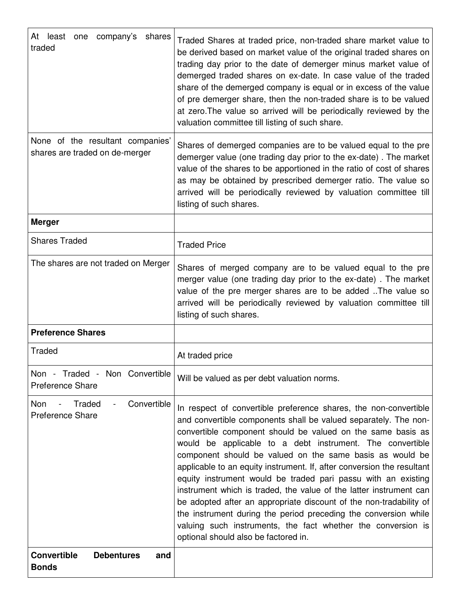| At least one company's shares<br>traded                            | Traded Shares at traded price, non-traded share market value to<br>be derived based on market value of the original traded shares on<br>trading day prior to the date of demerger minus market value of<br>demerged traded shares on ex-date. In case value of the traded<br>share of the demerged company is equal or in excess of the value<br>of pre demerger share, then the non-traded share is to be valued<br>at zero. The value so arrived will be periodically reviewed by the<br>valuation committee till listing of such share.                                                                                                                                                                                                                                                    |
|--------------------------------------------------------------------|-----------------------------------------------------------------------------------------------------------------------------------------------------------------------------------------------------------------------------------------------------------------------------------------------------------------------------------------------------------------------------------------------------------------------------------------------------------------------------------------------------------------------------------------------------------------------------------------------------------------------------------------------------------------------------------------------------------------------------------------------------------------------------------------------|
| None of the resultant companies'<br>shares are traded on de-merger | Shares of demerged companies are to be valued equal to the pre<br>demerger value (one trading day prior to the ex-date). The market<br>value of the shares to be apportioned in the ratio of cost of shares<br>as may be obtained by prescribed demerger ratio. The value so<br>arrived will be periodically reviewed by valuation committee till<br>listing of such shares.                                                                                                                                                                                                                                                                                                                                                                                                                  |
| <b>Merger</b>                                                      |                                                                                                                                                                                                                                                                                                                                                                                                                                                                                                                                                                                                                                                                                                                                                                                               |
| <b>Shares Traded</b>                                               | <b>Traded Price</b>                                                                                                                                                                                                                                                                                                                                                                                                                                                                                                                                                                                                                                                                                                                                                                           |
| The shares are not traded on Merger                                | Shares of merged company are to be valued equal to the pre<br>merger value (one trading day prior to the ex-date). The market<br>value of the pre merger shares are to be added The value so<br>arrived will be periodically reviewed by valuation committee till<br>listing of such shares.                                                                                                                                                                                                                                                                                                                                                                                                                                                                                                  |
| <b>Preference Shares</b>                                           |                                                                                                                                                                                                                                                                                                                                                                                                                                                                                                                                                                                                                                                                                                                                                                                               |
| Traded                                                             | At traded price                                                                                                                                                                                                                                                                                                                                                                                                                                                                                                                                                                                                                                                                                                                                                                               |
| Non - Traded - Non Convertible  <br><b>Preference Share</b>        | Will be valued as per debt valuation norms.                                                                                                                                                                                                                                                                                                                                                                                                                                                                                                                                                                                                                                                                                                                                                   |
| Traded<br>Convertible<br>Non<br><b>Preference Share</b>            | In respect of convertible preference shares, the non-convertible<br>and convertible components shall be valued separately. The non-<br>convertible component should be valued on the same basis as<br>would be applicable to a debt instrument. The convertible<br>component should be valued on the same basis as would be<br>applicable to an equity instrument. If, after conversion the resultant<br>equity instrument would be traded pari passu with an existing<br>instrument which is traded, the value of the latter instrument can<br>be adopted after an appropriate discount of the non-tradability of<br>the instrument during the period preceding the conversion while<br>valuing such instruments, the fact whether the conversion is<br>optional should also be factored in. |
| <b>Convertible</b><br><b>Debentures</b><br>and<br><b>Bonds</b>     |                                                                                                                                                                                                                                                                                                                                                                                                                                                                                                                                                                                                                                                                                                                                                                                               |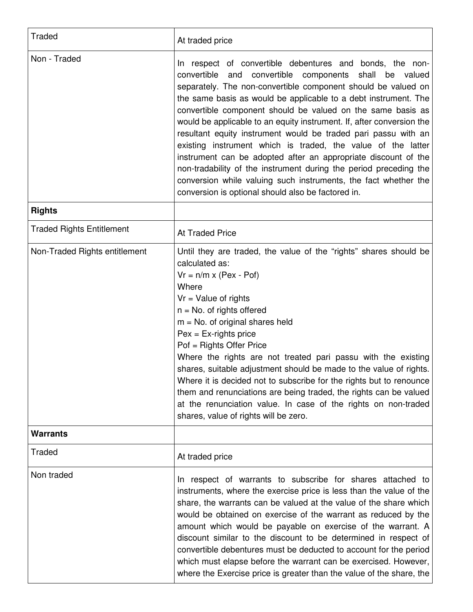| <b>Traded</b>                    | At traded price                                                                                                                                                                                                                                                                                                                                                                                                                                                                                                                                                                                                                                                                                                                                                                                     |
|----------------------------------|-----------------------------------------------------------------------------------------------------------------------------------------------------------------------------------------------------------------------------------------------------------------------------------------------------------------------------------------------------------------------------------------------------------------------------------------------------------------------------------------------------------------------------------------------------------------------------------------------------------------------------------------------------------------------------------------------------------------------------------------------------------------------------------------------------|
| Non - Traded                     | In respect of convertible debentures and bonds, the non-<br>convertible and convertible<br>components shall be valued<br>separately. The non-convertible component should be valued on<br>the same basis as would be applicable to a debt instrument. The<br>convertible component should be valued on the same basis as<br>would be applicable to an equity instrument. If, after conversion the<br>resultant equity instrument would be traded pari passu with an<br>existing instrument which is traded, the value of the latter<br>instrument can be adopted after an appropriate discount of the<br>non-tradability of the instrument during the period preceding the<br>conversion while valuing such instruments, the fact whether the<br>conversion is optional should also be factored in. |
| <b>Rights</b>                    |                                                                                                                                                                                                                                                                                                                                                                                                                                                                                                                                                                                                                                                                                                                                                                                                     |
| <b>Traded Rights Entitlement</b> | <b>At Traded Price</b>                                                                                                                                                                                                                                                                                                                                                                                                                                                                                                                                                                                                                                                                                                                                                                              |
| Non-Traded Rights entitlement    | Until they are traded, the value of the "rights" shares should be<br>calculated as:<br>$Vr = n/m \times (Pex - Pof)$<br>Where<br>$Vr = Value of rights$<br>$n = No$ . of rights offered<br>$m = No$ . of original shares held<br>$Pex = Ex-rights price$<br>Pof = Rights Offer Price<br>Where the rights are not treated pari passu with the existing<br>shares, suitable adjustment should be made to the value of rights.<br>Where it is decided not to subscribe for the rights but to renounce<br>them and renunciations are being traded, the rights can be valued<br>at the renunciation value. In case of the rights on non-traded<br>shares, value of rights will be zero.                                                                                                                  |
| <b>Warrants</b>                  |                                                                                                                                                                                                                                                                                                                                                                                                                                                                                                                                                                                                                                                                                                                                                                                                     |
| Traded                           | At traded price                                                                                                                                                                                                                                                                                                                                                                                                                                                                                                                                                                                                                                                                                                                                                                                     |
| Non traded                       | respect of warrants to subscribe for shares attached to<br>In.<br>instruments, where the exercise price is less than the value of the<br>share, the warrants can be valued at the value of the share which<br>would be obtained on exercise of the warrant as reduced by the<br>amount which would be payable on exercise of the warrant. A<br>discount similar to the discount to be determined in respect of<br>convertible debentures must be deducted to account for the period<br>which must elapse before the warrant can be exercised. However,<br>where the Exercise price is greater than the value of the share, the                                                                                                                                                                      |